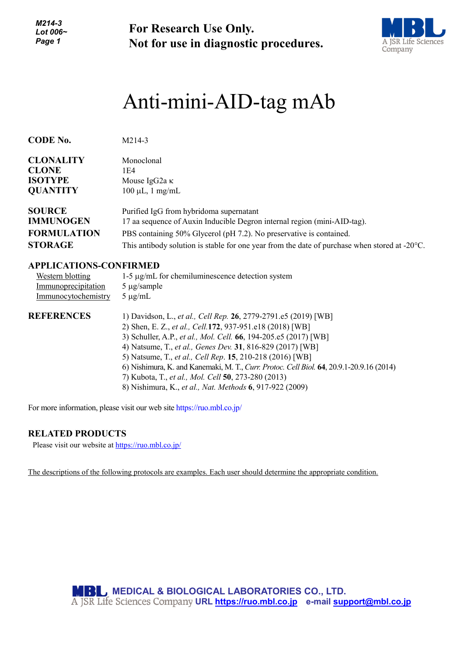*M214-3 Lot 006~ Page 1*

**For Research Use Only. Not for use in diagnostic procedures.**



# Anti-mini-AID-tag mAb

| <b>CODE No.</b>    | $M214-3$                                                                                                |
|--------------------|---------------------------------------------------------------------------------------------------------|
| <b>CLONALITY</b>   | Monoclonal                                                                                              |
| <b>CLONE</b>       | 1E4                                                                                                     |
| <b>ISOTYPE</b>     | Mouse IgG2a $\kappa$                                                                                    |
| <b>QUANTITY</b>    | $100 \mu L$ , 1 mg/mL                                                                                   |
| <b>SOURCE</b>      | Purified IgG from hybridoma supernatant                                                                 |
| <b>IMMUNOGEN</b>   | 17 aa sequence of Auxin Inducible Degron internal region (mini-AID-tag).                                |
| <b>FORMULATION</b> | PBS containing 50% Glycerol (pH 7.2). No preservative is contained.                                     |
| <b>STORAGE</b>     | This antibody solution is stable for one year from the date of purchase when stored at $-20^{\circ}$ C. |

# **APPLICATIONS-CONFIRMED**

| Western blotting    | $1-5 \mu g/mL$ for chemiluminescence detection system                                                                                                                                                                                                                                                                                                                                                                                                                          |
|---------------------|--------------------------------------------------------------------------------------------------------------------------------------------------------------------------------------------------------------------------------------------------------------------------------------------------------------------------------------------------------------------------------------------------------------------------------------------------------------------------------|
| Immunoprecipitation | $5 \mu g$ /sample                                                                                                                                                                                                                                                                                                                                                                                                                                                              |
| Immunocytochemistry | $5 \mu g/mL$                                                                                                                                                                                                                                                                                                                                                                                                                                                                   |
| <b>REFERENCES</b>   | 1) Davidson, L., et al., Cell Rep. 26, 2779-2791.e5 (2019) [WB]<br>2) Shen, E. Z., et al., Cell.172, 937-951.e18 (2018) [WB]<br>3) Schuller, A.P., et al., Mol. Cell. 66, 194-205.e5 (2017) [WB]<br>4) Natsume, T., et al., Genes Dev. 31, 816-829 (2017) [WB]<br>5) Natsume, T., et al., Cell Rep. 15, 210-218 (2016) [WB]<br>6) Nishimura, K. and Kanemaki, M. T., Curr. Protoc. Cell Biol. 64, 20.9.1-20.9.16 (2014)<br>7) Kubota, T., et al., Mol. Cell 50, 273-280 (2013) |

8) Nishimura, K., *et al., Nat. Methods* **6**, 917-922 (2009)

For more information, please visit our web site https://ruo.mbl.co.jp/

# **RELATED PRODUCTS**

Please visit our website at<https://ruo.mbl.co.jp/>

The descriptions of the following protocols are examples. Each user should determine the appropriate condition.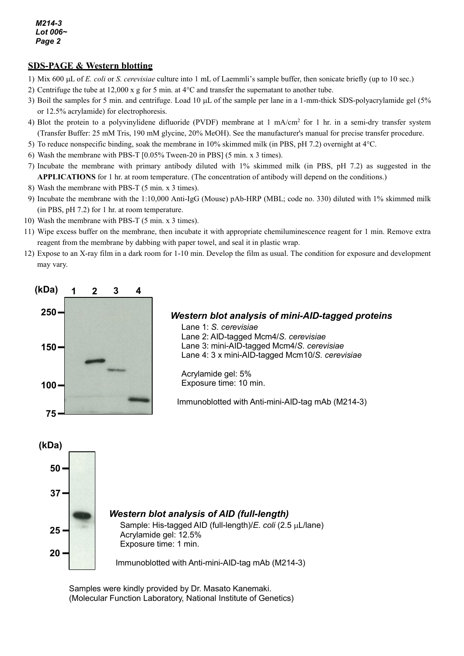# **SDS-PAGE & Western blotting**

- 1) Mix 600 µL of *E. coli* or *S. cerevisiae* culture into 1 mL of Laemmli's sample buffer, then sonicate briefly (up to 10 sec.)
- 2) Centrifuge the tube at 12,000 x g for 5 min. at 4°C and transfer the supernatant to another tube.
- 3) Boil the samples for 5 min. and centrifuge. Load 10 µL of the sample per lane in a 1-mm-thick SDS-polyacrylamide gel (5% or 12.5% acrylamide) for electrophoresis.
- 4) Blot the protein to a polyvinylidene difluoride (PVDF) membrane at 1 mA/cm2 for 1 hr. in a semi-dry transfer system (Transfer Buffer: 25 mM Tris, 190 mM glycine, 20% MeOH). See the manufacturer's manual for precise transfer procedure.
- 5) To reduce nonspecific binding, soak the membrane in 10% skimmed milk (in PBS, pH 7.2) overnight at 4°C.
- 6) Wash the membrane with PBS-T [0.05% Tween-20 in PBS] (5 min. x 3 times).
- 7) Incubate the membrane with primary antibody diluted with 1% skimmed milk (in PBS, pH 7.2) as suggested in the **APPLICATIONS** for 1 hr. at room temperature. (The concentration of antibody will depend on the conditions.)
- 8) Wash the membrane with PBS-T (5 min. x 3 times).
- 9) Incubate the membrane with the 1:10,000 Anti-IgG (Mouse) pAb-HRP (MBL; code no. 330) diluted with 1% skimmed milk (in PBS, pH 7.2) for 1 hr. at room temperature.
- 10) Wash the membrane with PBS-T (5 min. x 3 times).
- 11) Wipe excess buffer on the membrane, then incubate it with appropriate chemiluminescence reagent for 1 min. Remove extra reagent from the membrane by dabbing with paper towel, and seal it in plastic wrap.
- 12) Expose to an X-ray film in a dark room for 1-10 min. Develop the film as usual. The condition for exposure and development may vary.



#### *Western blot analysis of mini-AID-tagged proteins*

Lane 1: *S. cerevisiae* Lane 2: AID-tagged Mcm4/*S. cerevisiae* Lane 3: mini-AID-tagged Mcm4/*S. cerevisiae* Lane 4: 3 x mini-AID-tagged Mcm10/*S. cerevisiae*

Acrylamide gel: 5% Exposure time: 10 min.

Immunoblotted with Anti-mini-AID-tag mAb (M214-3)



Samples were kindly provided by Dr. Masato Kanemaki. (Molecular Function Laboratory, National Institute of Genetics)